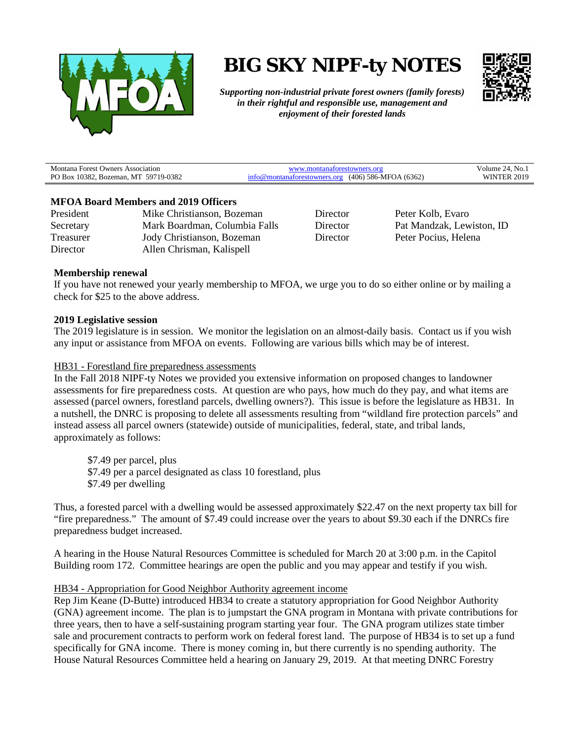

# **BIG SKY NIPF-ty NOTES**



*Supporting non-industrial private forest owners (family forests) in their rightful and responsible use, management and enjoyment of their forested lands*

| <b>Montana Forest Owners Association</b>     | 73.XZ                                        | No.<br>'olume |
|----------------------------------------------|----------------------------------------------|---------------|
| MT 59719-0382<br>PO Box<br>10382<br>Bozeman. | (406) 586-MFOA (6362)<br>inatorestowners org | 2010          |

## **MFOA Board Members and 2019 Officers**

President Mike Christianson, Bozeman Secretary Mark Boardman, Columbia Falls Treasurer Jody Christianson, Bozeman Director Allen Chrisman, Kalispell

Director Peter Kolb, Evaro Director Pat Mandzak, Lewiston, ID Director Peter Pocius, Helena

## **Membership renewal**

If you have not renewed your yearly membership to MFOA, we urge you to do so either online or by mailing a check for \$25 to the above address.

## **2019 Legislative session**

The 2019 legislature is in session. We monitor the legislation on an almost-daily basis. Contact us if you wish any input or assistance from MFOA on events. Following are various bills which may be of interest.

### HB31 - Forestland fire preparedness assessments

In the Fall 2018 NIPF-ty Notes we provided you extensive information on proposed changes to landowner assessments for fire preparedness costs. At question are who pays, how much do they pay, and what items are assessed (parcel owners, forestland parcels, dwelling owners?). This issue is before the legislature as HB31. In a nutshell, the DNRC is proposing to delete all assessments resulting from "wildland fire protection parcels" and instead assess all parcel owners (statewide) outside of municipalities, federal, state, and tribal lands, approximately as follows:

\$7.49 per parcel, plus \$7.49 per a parcel designated as class 10 forestland, plus \$7.49 per dwelling

Thus, a forested parcel with a dwelling would be assessed approximately \$22.47 on the next property tax bill for "fire preparedness." The amount of \$7.49 could increase over the years to about \$9.30 each if the DNRCs fire preparedness budget increased.

A hearing in the House Natural Resources Committee is scheduled for March 20 at 3:00 p.m. in the Capitol Building room 172. Committee hearings are open the public and you may appear and testify if you wish.

#### HB34 - Appropriation for Good Neighbor Authority agreement income

Rep Jim Keane (D-Butte) introduced HB34 to create a statutory appropriation for Good Neighbor Authority (GNA) agreement income. The plan is to jumpstart the GNA program in Montana with private contributions for three years, then to have a self-sustaining program starting year four. The GNA program utilizes state timber sale and procurement contracts to perform work on federal forest land. The purpose of HB34 is to set up a fund specifically for GNA income. There is money coming in, but there currently is no spending authority. The House Natural Resources Committee held a hearing on January 29, 2019. At that meeting DNRC Forestry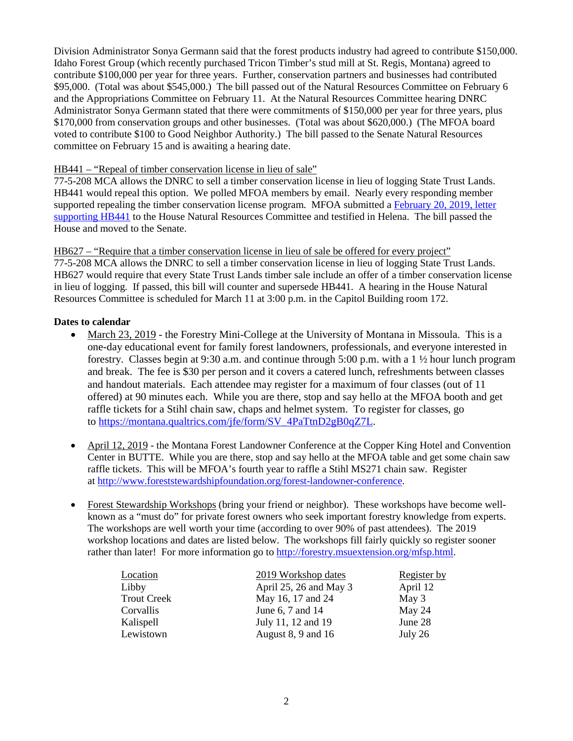Division Administrator Sonya Germann said that the forest products industry had agreed to contribute \$150,000. Idaho Forest Group (which recently purchased Tricon Timber's stud mill at St. Regis, Montana) agreed to contribute \$100,000 per year for three years. Further, conservation partners and businesses had contributed \$95,000. (Total was about \$545,000.) The bill passed out of the Natural Resources Committee on February 6 and the Appropriations Committee on February 11. At the Natural Resources Committee hearing DNRC Administrator Sonya Germann stated that there were commitments of \$150,000 per year for three years, plus \$170,000 from conservation groups and other businesses. (Total was about \$620,000.) (The MFOA board voted to contribute \$100 to Good Neighbor Authority.) The bill passed to the Senate Natural Resources committee on February 15 and is awaiting a hearing date.

## HB441 – "Repeal of timber conservation license in lieu of sale"

77-5-208 MCA allows the DNRC to sell a timber conservation license in lieu of logging State Trust Lands. HB441 would repeal this option. We polled MFOA members by email. Nearly every responding member supported repealing the timber conservation license program. MFOA submitted a [February 20, 2019, letter](https://docs.wixstatic.com/ugd/975c71_d818d7a3b26241e79ce43be6c207db1a.pdf)  [supporting HB441](https://docs.wixstatic.com/ugd/975c71_d818d7a3b26241e79ce43be6c207db1a.pdf) to the House Natural Resources Committee and testified in Helena. The bill passed the House and moved to the Senate.

HB627 – "Require that a timber conservation license in lieu of sale be offered for every project" 77-5-208 MCA allows the DNRC to sell a timber conservation license in lieu of logging State Trust Lands. HB627 would require that every State Trust Lands timber sale include an offer of a timber conservation license in lieu of logging. If passed, this bill will counter and supersede HB441. A hearing in the House Natural Resources Committee is scheduled for March 11 at 3:00 p.m. in the Capitol Building room 172.

# **Dates to calendar**

- March 23, 2019 the Forestry Mini-College at the University of Montana in Missoula. This is a one-day educational event for family forest landowners, professionals, and everyone interested in forestry. Classes begin at 9:30 a.m. and continue through 5:00 p.m. with a  $1 \frac{1}{2}$  hour lunch program and break. The fee is \$30 per person and it covers a catered lunch, refreshments between classes and handout materials. Each attendee may register for a maximum of four classes (out of 11 offered) at 90 minutes each. While you are there, stop and say hello at the MFOA booth and get raffle tickets for a Stihl chain saw, chaps and helmet system. To register for classes, go to [https://montana.qualtrics.com/jfe/form/SV\\_4PaTtnD2gB0qZ7L.](https://montana.qualtrics.com/jfe/form/SV_4PaTtnD2gB0qZ7L)
- April 12, 2019 the Montana Forest Landowner Conference at the Copper King Hotel and Convention Center in BUTTE. While you are there, stop and say hello at the MFOA table and get some chain saw raffle tickets. This will be MFOA's fourth year to raffle a Stihl MS271 chain saw. Register at [http://www.foreststewardshipfoundation.org/forest-landowner-conference.](http://www.foreststewardshipfoundation.org/forest-landowner-conference)
- Forest Stewardship Workshops (bring your friend or neighbor).These workshops have become wellknown as a "must do" for private forest owners who seek important forestry knowledge from experts. The workshops are well worth your time (according to over 90% of past attendees). The 2019 workshop locations and dates are listed below. The workshops fill fairly quickly so register sooner rather than later! For more information go to [http://forestry.msuextension.org/mfsp.html.](http://forestry.msuextension.org/mfsp.html)

| Location           | 2019 Workshop dates    | <b>Register by</b> |
|--------------------|------------------------|--------------------|
| Libby              | April 25, 26 and May 3 | April 12           |
| <b>Trout Creek</b> | May 16, 17 and 24      | May $3$            |
| Corvallis          | June 6, 7 and 14       | May 24             |
| Kalispell          | July 11, 12 and 19     | June 28            |
| Lewistown          | August 8, 9 and 16     | July 26            |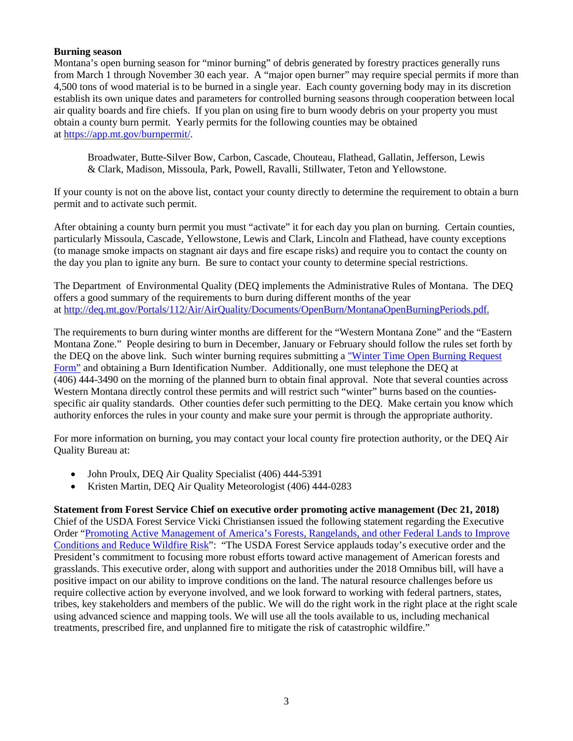# **Burning season**

Montana's open burning season for "minor burning" of debris generated by forestry practices generally runs from March 1 through November 30 each year. A "major open burner" may require special permits if more than 4,500 tons of wood material is to be burned in a single year. Each county governing body may in its discretion establish its own unique dates and parameters for controlled burning seasons through cooperation between local air quality boards and fire chiefs. If you plan on using fire to burn woody debris on your property you must obtain a county burn permit. Yearly permits for the following counties may be obtained at [https://app.mt.gov/burnpermit/.](https://app.mt.gov/burnpermit/)

Broadwater, Butte-Silver Bow, Carbon, Cascade, Chouteau, Flathead, Gallatin, Jefferson, Lewis & Clark, Madison, Missoula, Park, Powell, Ravalli, Stillwater, Teton and Yellowstone.

If your county is not on the above list, contact your county directly to determine the requirement to obtain a burn permit and to activate such permit.

After obtaining a county burn permit you must "activate" it for each day you plan on burning. Certain counties, particularly Missoula, Cascade, Yellowstone, Lewis and Clark, Lincoln and Flathead, have county exceptions (to manage smoke impacts on stagnant air days and fire escape risks) and require you to contact the county on the day you plan to ignite any burn. Be sure to contact your county to determine special restrictions.

The Department of Environmental Quality (DEQ implements the Administrative Rules of Montana. The DEQ offers a good summary of the requirements to burn during different months of the year at [http://deq.mt.gov/Portals/112/Air/AirQuality/Documents/OpenBurn/MontanaOpenBurningPeriods.pdf.](http://deq.mt.gov/Portals/112/Air/AirQuality/Documents/OpenBurn/MontanaOpenBurningPeriods.pdf)

The requirements to burn during winter months are different for the "Western Montana Zone" and the "Eastern Montana Zone." People desiring to burn in December, January or February should follow the rules set forth by the DEQ on the above link. Such winter burning requires submitting [a "Winter Time Open Burning Request](http://deq.mt.gov/Portals/112/Air/AirQuality/Documents/forms/Winter_OB_Request.pdf)  [Form"](http://deq.mt.gov/Portals/112/Air/AirQuality/Documents/forms/Winter_OB_Request.pdf) and obtaining a Burn Identification Number. Additionally, one must telephone the DEQ at (406) 444-3490 on the morning of the planned burn to obtain final approval. Note that several counties across Western Montana directly control these permits and will restrict such "winter" burns based on the countiesspecific air quality standards. Other counties defer such permitting to the DEQ. Make certain you know which authority enforces the rules in your county and make sure your permit is through the appropriate authority.

For more information on burning, you may contact your local county fire protection authority, or the DEQ Air Quality Bureau at:

- John Proulx, DEQ Air Quality Specialist (406) 444-5391
- Kristen Martin, DEQ Air Quality Meteorologist (406) 444-0283

**Statement from Forest Service Chief on executive order promoting active management (Dec 21, 2018)** Chief of the USDA Forest Service Vicki Christiansen issued the following statement regarding the Executive Order "Promoting Active Management of [America's Forests, Rangelands, and other Federal Lands to Improve](https://www.usda.gov/media/press-releases/2018/12/21/statement-secretary-perdue-president-trumps-forest-management)  [Conditions and Reduce Wildfire Risk"](https://www.usda.gov/media/press-releases/2018/12/21/statement-secretary-perdue-president-trumps-forest-management): "The USDA Forest Service applauds today's executive order and the President's commitment to focusing more robust efforts toward active management of American forests and grasslands. This executive order, along with support and authorities under the 2018 Omnibus bill, will have a positive impact on our ability to improve conditions on the land. The natural resource challenges before us require collective action by everyone involved, and we look forward to working with federal partners, states, tribes, key stakeholders and members of the public. We will do the right work in the right place at the right scale using advanced science and mapping tools. We will use all the tools available to us, including mechanical treatments, prescribed fire, and unplanned fire to mitigate the risk of catastrophic wildfire."